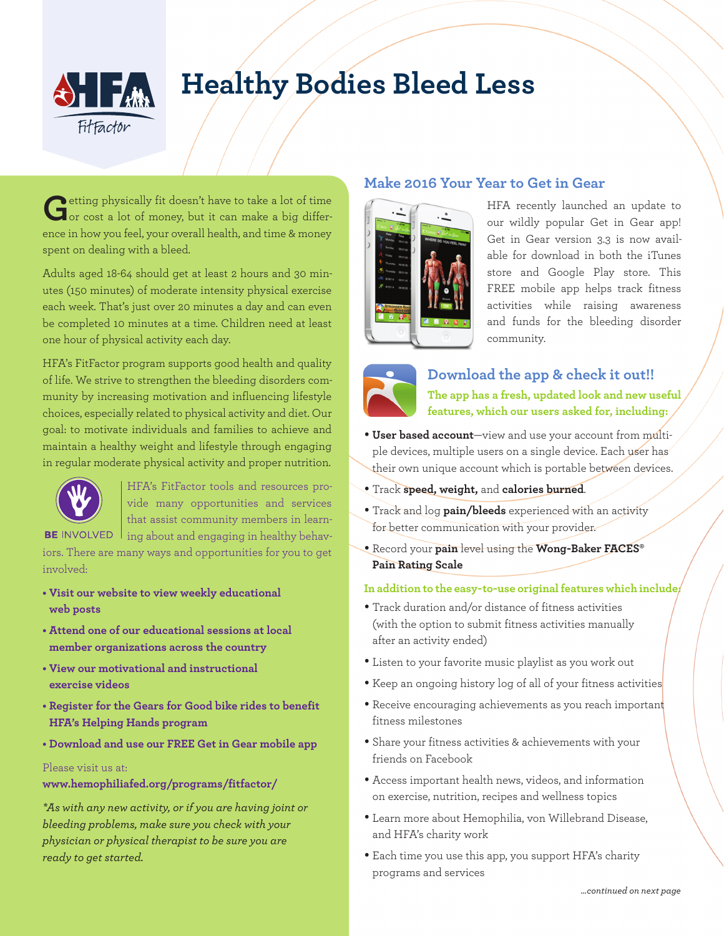

# **Healthy Bodies Bleed Less**

Getting physically fit doesn't have to take a lot of time or cost a lot of money, but it can make a big difference in how you feel, your overall health, and time & money spent on dealing with a bleed.

Adults aged 18-64 should get at least 2 hours and 30 minutes (150 minutes) of moderate intensity physical exercise each week. That's just over 20 minutes a day and can even be completed 10 minutes at a time. Children need at least one hour of physical activity each day.

HFA's FitFactor program supports good health and quality of life. We strive to strengthen the bleeding disorders community by increasing motivation and influencing lifestyle choices, especially related to physical activity and diet. Our goal: to motivate individuals and families to achieve and maintain a healthy weight and lifestyle through engaging in regular moderate physical activity and proper nutrition.



HFA's FitFactor tools and resources provide many opportunities and services that assist community members in learn-BE INVOLVED 1 ing about and engaging in healthy behav-

iors. There are many ways and opportunities for you to get involved:

- **Visit our website to view weekly educational web posts**
- **Attend one of our educational sessions at local member organizations across the country**
- **View our motivational and instructional exercise videos**
- **Register for the Gears for Good bike rides to benefit HFA's Helping Hands program**
- **Download and use our FREE Get in Gear mobile app**

#### Please visit us at:

**www.hemophiliafed.org/programs/fitfactor/**

*\*As with any new activity, or if you are having joint or bleeding problems, make sure you check with your physician or physical therapist to be sure you are ready to get started.*

## **Make 2016 Your Year to Get in Gear**



HFA recently launched an update to our wildly popular Get in Gear app! Get in Gear version 3.3 is now available for download in both the iTunes store and Google Play store. This FREE mobile app helps track fitness activities while raising awareness and funds for the bleeding disorder community.



**Download the app & check it out!! The app has a fresh, updated look and new useful features, which our users asked for, including:** 

- **User based account**—view and use your account from multiple devices, multiple users on a single device. Each user has their own unique account which is portable between devices.
- Track **speed, weight,** and **calories burned**.
- Track and log **pain/bleeds** experienced with an activity for better communication with your provider.
- Record your **pain** level using the **Wong-Baker FACES® Pain Rating Scale**

### **In addition to the easy-to-use original features which include:**

- Track duration and/or distance of fitness activities (with the option to submit fitness activities manually after an activity ended)
- Listen to your favorite music playlist as you work out
- Keep an ongoing history log of all of your fitness activities
- Receive encouraging achievements as you reach important fitness milestones
- Share your fitness activities & achievements with your friends on Facebook
- Access important health news, videos, and information on exercise, nutrition, recipes and wellness topics
- Learn more about Hemophilia, von Willebrand Disease, and HFA's charity work
- Each time you use this app, you support HFA's charity programs and services